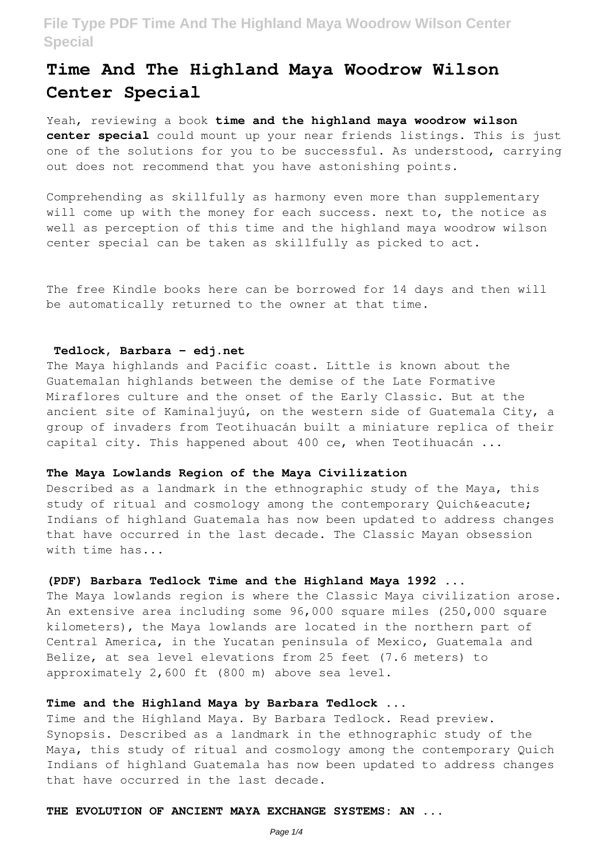# **Time And The Highland Maya Woodrow Wilson Center Special**

Yeah, reviewing a book **time and the highland maya woodrow wilson center special** could mount up your near friends listings. This is just one of the solutions for you to be successful. As understood, carrying out does not recommend that you have astonishing points.

Comprehending as skillfully as harmony even more than supplementary will come up with the money for each success. next to, the notice as well as perception of this time and the highland maya woodrow wilson center special can be taken as skillfully as picked to act.

The free Kindle books here can be borrowed for 14 days and then will be automatically returned to the owner at that time.

#### **Tedlock, Barbara - edj.net**

The Maya highlands and Pacific coast. Little is known about the Guatemalan highlands between the demise of the Late Formative Miraflores culture and the onset of the Early Classic. But at the ancient site of Kaminaljuyú, on the western side of Guatemala City, a group of invaders from Teotihuacán built a miniature replica of their capital city. This happened about 400 ce, when Teotihuacán ...

#### **The Maya Lowlands Region of the Maya Civilization**

Described as a landmark in the ethnographic study of the Maya, this study of ritual and cosmology among the contemporary Quiché Indians of highland Guatemala has now been updated to address changes that have occurred in the last decade. The Classic Mayan obsession with time has...

# **(PDF) Barbara Tedlock Time and the Highland Maya 1992 ...**

The Maya lowlands region is where the Classic Maya civilization arose. An extensive area including some 96,000 square miles (250,000 square kilometers), the Maya lowlands are located in the northern part of Central America, in the Yucatan peninsula of Mexico, Guatemala and Belize, at sea level elevations from 25 feet (7.6 meters) to approximately 2,600 ft (800 m) above sea level.

#### **Time and the Highland Maya by Barbara Tedlock ...**

Time and the Highland Maya. By Barbara Tedlock. Read preview. Synopsis. Described as a landmark in the ethnographic study of the Maya, this study of ritual and cosmology among the contemporary Quich Indians of highland Guatemala has now been updated to address changes that have occurred in the last decade.

# **THE EVOLUTION OF ANCIENT MAYA EXCHANGE SYSTEMS: AN ...**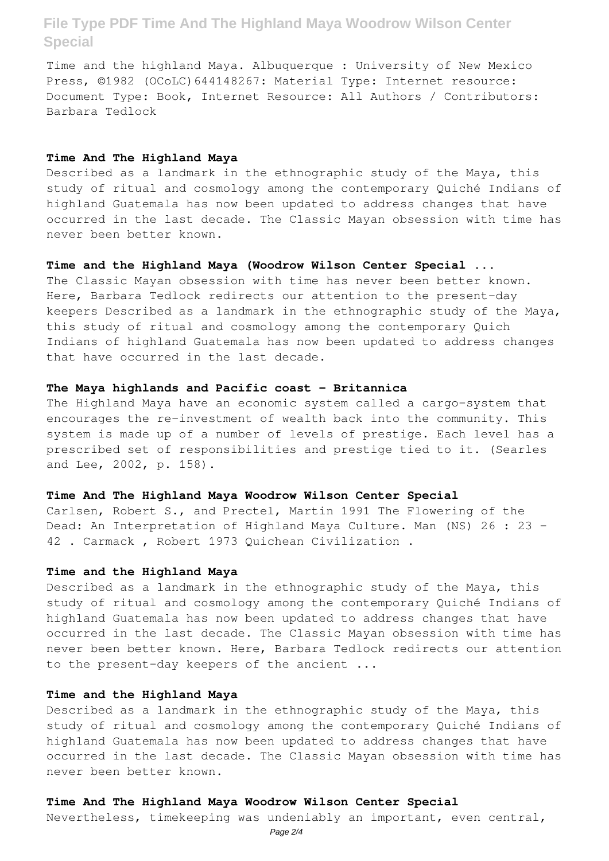Time and the highland Maya. Albuquerque : University of New Mexico Press, ©1982 (OCoLC)644148267: Material Type: Internet resource: Document Type: Book, Internet Resource: All Authors / Contributors: Barbara Tedlock

#### **Time And The Highland Maya**

Described as a landmark in the ethnographic study of the Maya, this study of ritual and cosmology among the contemporary Quiché Indians of highland Guatemala has now been updated to address changes that have occurred in the last decade. The Classic Mayan obsession with time has never been better known.

### **Time and the Highland Maya (Woodrow Wilson Center Special ...**

The Classic Mayan obsession with time has never been better known. Here, Barbara Tedlock redirects our attention to the present-day keepers Described as a landmark in the ethnographic study of the Maya, this study of ritual and cosmology among the contemporary Quich Indians of highland Guatemala has now been updated to address changes that have occurred in the last decade.

# **The Maya highlands and Pacific coast - Britannica**

The Highland Maya have an economic system called a cargo-system that encourages the re-investment of wealth back into the community. This system is made up of a number of levels of prestige. Each level has a prescribed set of responsibilities and prestige tied to it. (Searles and Lee, 2002, p. 158).

#### **Time And The Highland Maya Woodrow Wilson Center Special**

Carlsen, Robert S., and Prectel, Martin 1991 The Flowering of the Dead: An Interpretation of Highland Maya Culture. Man (NS) 26 : 23 – 42 . Carmack , Robert 1973 Quichean Civilization .

#### **Time and the Highland Maya**

Described as a landmark in the ethnographic study of the Maya, this study of ritual and cosmology among the contemporary Quiché Indians of highland Guatemala has now been updated to address changes that have occurred in the last decade. The Classic Mayan obsession with time has never been better known. Here, Barbara Tedlock redirects our attention to the present-day keepers of the ancient ...

#### **Time and the Highland Maya**

Described as a landmark in the ethnographic study of the Maya, this study of ritual and cosmology among the contemporary Quiché Indians of highland Guatemala has now been updated to address changes that have occurred in the last decade. The Classic Mayan obsession with time has never been better known.

# **Time And The Highland Maya Woodrow Wilson Center Special**

Nevertheless, timekeeping was undeniably an important, even central,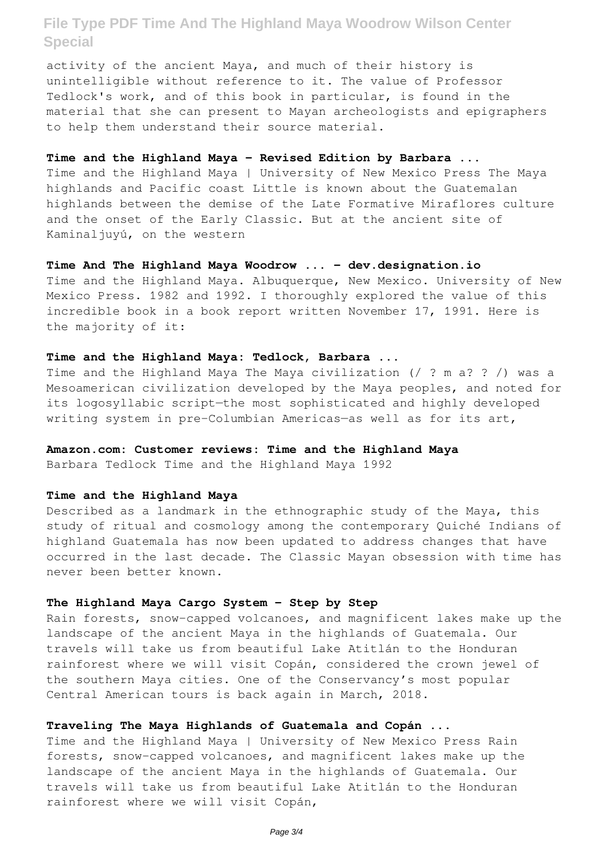activity of the ancient Maya, and much of their history is unintelligible without reference to it. The value of Professor Tedlock's work, and of this book in particular, is found in the material that she can present to Mayan archeologists and epigraphers to help them understand their source material.

#### **Time and the Highland Maya - Revised Edition by Barbara ...**

Time and the Highland Maya | University of New Mexico Press The Maya highlands and Pacific coast Little is known about the Guatemalan highlands between the demise of the Late Formative Miraflores culture and the onset of the Early Classic. But at the ancient site of Kaminaljuyú, on the western

### **Time And The Highland Maya Woodrow ... - dev.designation.io**

Time and the Highland Maya. Albuquerque, New Mexico. University of New Mexico Press. 1982 and 1992. I thoroughly explored the value of this incredible book in a book report written November 17, 1991. Here is the majority of it:

# **Time and the Highland Maya: Tedlock, Barbara ...**

Time and the Highland Maya The Maya civilization (/ ? m a? ? /) was a Mesoamerican civilization developed by the Maya peoples, and noted for its logosyllabic script—the most sophisticated and highly developed writing system in pre-Columbian Americas—as well as for its art,

# **Amazon.com: Customer reviews: Time and the Highland Maya**

Barbara Tedlock Time and the Highland Maya 1992

#### **Time and the Highland Maya**

Described as a landmark in the ethnographic study of the Maya, this study of ritual and cosmology among the contemporary Quiché Indians of highland Guatemala has now been updated to address changes that have occurred in the last decade. The Classic Mayan obsession with time has never been better known.

### **The Highland Maya Cargo System - Step by Step**

Rain forests, snow-capped volcanoes, and magnificent lakes make up the landscape of the ancient Maya in the highlands of Guatemala. Our travels will take us from beautiful Lake Atitlán to the Honduran rainforest where we will visit Copán, considered the crown jewel of the southern Maya cities. One of the Conservancy's most popular Central American tours is back again in March, 2018.

# **Traveling The Maya Highlands of Guatemala and Copán ...**

Time and the Highland Maya | University of New Mexico Press Rain forests, snow-capped volcanoes, and magnificent lakes make up the landscape of the ancient Maya in the highlands of Guatemala. Our travels will take us from beautiful Lake Atitlán to the Honduran rainforest where we will visit Copán,